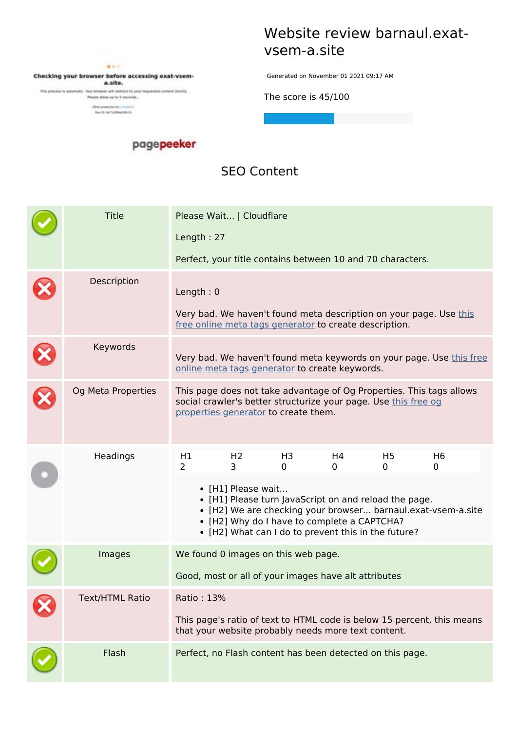

Checking your browser before accessing exat-vsema.site.

This process is automatic. Your browser will indirect to your respected content shortly. Firmer allow up to 5 seconds...

 $\begin{array}{ll} \textbf{(left-prob} = \textbf{1}_1 \cdot \ldots \cdot \textbf{1}_N, \\ \textbf{1}_N \in \textbf{1}_1 \cdot \ldots \cdot \textbf{1}_N, \\ \textbf{1}_N \in \textbf{2}_1 \cdot \ldots \cdot \textbf{1}_N, \\ \textbf{1}_N \in \textbf{3}_1 \cdot \ldots \cdot \textbf{1}_N, \end{array}$ 

### **Website review barnaul.exatvsem-a.site**

Generated on November 01 2021 09:17 AM

**The score is 45/100**

#### pagepeeker

### **SEO Content**

| <b>Title</b>       |                                                      | Please Wait   Cloudflare |                                                        |         |                                                                                                              |                                                                        |  |
|--------------------|------------------------------------------------------|--------------------------|--------------------------------------------------------|---------|--------------------------------------------------------------------------------------------------------------|------------------------------------------------------------------------|--|
|                    | Length: 27                                           |                          |                                                        |         |                                                                                                              |                                                                        |  |
|                    |                                                      |                          |                                                        |         | Perfect, your title contains between 10 and 70 characters.                                                   |                                                                        |  |
| Description        | Length: $0$                                          |                          |                                                        |         |                                                                                                              | Very bad. We haven't found meta description on your page. Use this     |  |
|                    |                                                      |                          | free online meta tags generator to create description. |         |                                                                                                              |                                                                        |  |
| Keywords           |                                                      |                          | online meta tags generator to create keywords.         |         |                                                                                                              | Very bad. We haven't found meta keywords on your page. Use this free   |  |
| Og Meta Properties |                                                      |                          | properties generator to create them.                   |         | social crawler's better structurize your page. Use this free og                                              | This page does not take advantage of Og Properties. This tags allows   |  |
| Headings           | H1<br>2                                              | H <sub>2</sub><br>3      | H <sub>3</sub><br>$\mathbf{0}$                         | H4<br>0 | H <sub>5</sub><br>0                                                                                          | H <sub>6</sub><br>0                                                    |  |
|                    |                                                      | • [H1] Please wait       | • [H2] Why do I have to complete a CAPTCHA?            |         | • [H1] Please turn JavaScript on and reload the page.<br>• [H2] What can I do to prevent this in the future? | • [H2] We are checking your browser barnaul.exat-vsem-a.site           |  |
| Images             |                                                      |                          | We found 0 images on this web page.                    |         |                                                                                                              |                                                                        |  |
|                    | Good, most or all of your images have alt attributes |                          |                                                        |         |                                                                                                              |                                                                        |  |
| Text/HTML Ratio    | Ratio: 13%                                           |                          |                                                        |         |                                                                                                              |                                                                        |  |
|                    |                                                      |                          | that your website probably needs more text content.    |         |                                                                                                              | This page's ratio of text to HTML code is below 15 percent, this means |  |
| Flash              |                                                      |                          |                                                        |         | Perfect, no Flash content has been detected on this page.                                                    |                                                                        |  |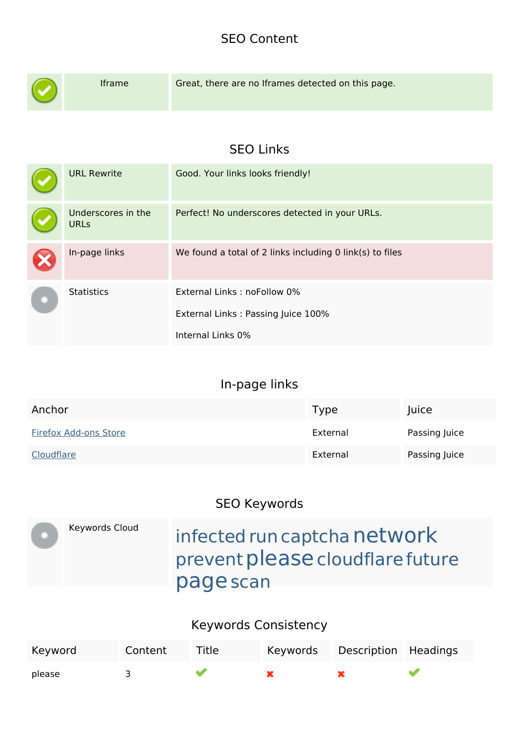## **SEO Content**

|  | Iframe                            | Great, there are no Iframes detected on this page.       |
|--|-----------------------------------|----------------------------------------------------------|
|  |                                   | <b>SEO Links</b>                                         |
|  | <b>URL Rewrite</b>                | Good. Your links looks friendly!                         |
|  | Underscores in the<br><b>URLs</b> | Perfect! No underscores detected in your URLs.           |
|  | In-page links                     | We found a total of 2 links including 0 link(s) to files |
|  | <b>Statistics</b>                 | External Links: noFollow 0%                              |
|  |                                   | External Links: Passing Juice 100%                       |
|  |                                   | Internal Links 0%                                        |

## **In-page links**

| Anchor                       | Type     | Juice         |
|------------------------------|----------|---------------|
| <b>Firefox Add-ons Store</b> | External | Passing Juice |
| Cloudflare                   | External | Passing Juice |

## **SEO Keywords**

| Keywords Cloud | infected run captcha network<br>prevent please cloudflare future<br>page scan |
|----------------|-------------------------------------------------------------------------------|
|                |                                                                               |

## **Keywords Consistency**

| Keyword | Content | Title | Keywords | Description Headings |  |
|---------|---------|-------|----------|----------------------|--|
| please  |         |       |          |                      |  |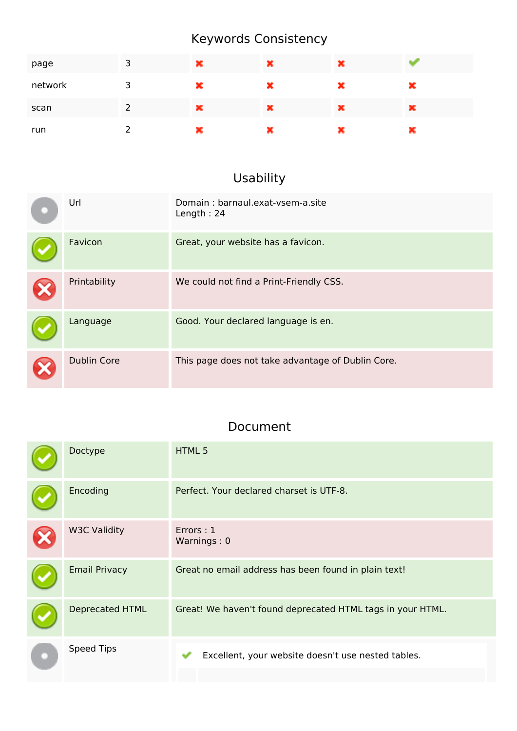## **Keywords Consistency**

| page    | 3 | × | × | × |   |
|---------|---|---|---|---|---|
| network | 3 | × | × | × | × |
| scan    | 2 | × | × | × | × |
| run     | ົ | × | × | × | × |

# **Usability**

| Url                | Domain: barnaul.exat-ysem-a.site<br>Length: 24    |
|--------------------|---------------------------------------------------|
| Favicon            | Great, your website has a favicon.                |
| Printability       | We could not find a Print-Friendly CSS.           |
| Language           | Good. Your declared language is en.               |
| <b>Dublin Core</b> | This page does not take advantage of Dublin Core. |

### **Document**

| Doctype              | HTML 5                                                     |
|----------------------|------------------------------------------------------------|
| Encoding             | Perfect. Your declared charset is UTF-8.                   |
| <b>W3C Validity</b>  | Errors: 1<br>Warnings: 0                                   |
| <b>Email Privacy</b> | Great no email address has been found in plain text!       |
| Deprecated HTML      | Great! We haven't found deprecated HTML tags in your HTML. |
| <b>Speed Tips</b>    | Excellent, your website doesn't use nested tables.         |